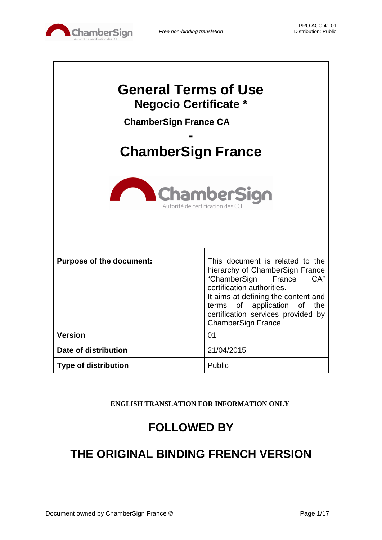

 $\overline{\phantom{a}}$ 

| <b>General Terms of Use</b><br><b>Negocio Certificate *</b><br><b>ChamberSign France CA</b><br><b>ChamberSign France</b><br><b>ChamberSign</b><br>Autorité de certification des CC |                                                                                                                                                                                                                                                                            |  |
|------------------------------------------------------------------------------------------------------------------------------------------------------------------------------------|----------------------------------------------------------------------------------------------------------------------------------------------------------------------------------------------------------------------------------------------------------------------------|--|
|                                                                                                                                                                                    |                                                                                                                                                                                                                                                                            |  |
| <b>Purpose of the document:</b>                                                                                                                                                    | This document is related to the<br>hierarchy of ChamberSign France<br>"ChamberSign<br>CA"<br>France<br>certification authorities.<br>It aims at defining the content and<br>terms of application of the<br>certification services provided by<br><b>ChamberSign France</b> |  |
| <b>Version</b>                                                                                                                                                                     | 01                                                                                                                                                                                                                                                                         |  |
| Date of distribution                                                                                                                                                               | 21/04/2015                                                                                                                                                                                                                                                                 |  |
| <b>Type of distribution</b>                                                                                                                                                        | Public                                                                                                                                                                                                                                                                     |  |

**ENGLISH TRANSLATION FOR INFORMATION ONLY**

# **FOLLOWED BY**

# **THE ORIGINAL BINDING FRENCH VERSION**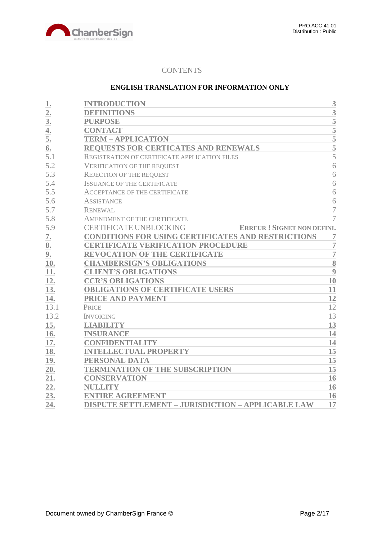

# **CONTENTS**

## **ENGLISH TRANSLATION FOR INFORMATION ONLY**

| 1.             | <b>INTRODUCTION</b>                                                | 3              |
|----------------|--------------------------------------------------------------------|----------------|
| 2.             | <b>DEFINITIONS</b>                                                 | $\overline{3}$ |
| 3 <sub>l</sub> | <b>PURPOSE</b>                                                     | 5              |
| 4.             | <b>CONTACT</b>                                                     | 5              |
| 5.             | <b>TERM - APPLICATION</b>                                          | 5              |
| 6.             | REQUESTS FOR CERTICATES AND RENEWALS                               | $\overline{5}$ |
| 5.1            | REGISTRATION OF CERTIFICATE APPLICATION FILES                      | $\overline{5}$ |
| 5.2            | <b>VERIFICATION OF THE REQUEST</b>                                 | 6              |
| 5.3            | <b>REJECTION OF THE REQUEST</b>                                    | 6              |
| 5.4            | <b>ISSUANCE OF THE CERTIFICATE</b>                                 | 6              |
| 5.5            | <b>ACCEPTANCE OF THE CERTIFICATE</b>                               | 6              |
| 5.6            | <b>ASSISTANCE</b>                                                  | 6              |
| 5.7            | <b>RENEWAL</b>                                                     | $\overline{7}$ |
| 5.8            | AMENDMENT OF THE CERTIFICATE                                       | $\overline{7}$ |
| 5.9            | <b>CERTIFICATE UNBLOCKING</b><br><b>ERREUR! SIGNET NON DEFINI.</b> |                |
| 7.             | <b>CONDITIONS FOR USING CERTIFICATES AND RESTRICTIONS</b>          | 7              |
| 8.             | <b>CERTIFICATE VERIFICATION PROCEDURE</b>                          | $\overline{7}$ |
| 9.             | <b>REVOCATION OF THE CERTIFICATE</b>                               | $\overline{7}$ |
| 10.            | <b>CHAMBERSIGN'S OBLIGATIONS</b>                                   | 8              |
| 11.            | <b>CLIENT'S OBLIGATIONS</b>                                        | 9              |
| 12.            | <b>CCR'S OBLIGATIONS</b>                                           | 10             |
| 13.            | <b>OBLIGATIONS OF CERTIFICATE USERS</b>                            | 11             |
| 14.            | PRICE AND PAYMENT                                                  | 12             |
| 13.1           | PRICE                                                              | 12             |
| 13.2           | <b>INVOICING</b>                                                   | 13             |
| 15.            | <b>LIABILITY</b>                                                   | 13             |
| 16.            | <b>INSURANCE</b>                                                   | 14             |
| 17.            | <b>CONFIDENTIALITY</b>                                             | 14             |
| 18.            | <b>INTELLECTUAL PROPERTY</b>                                       | 15             |
| 19.            | PERSONAL DATA                                                      | 15             |
| 20.            | <b>TERMINATION OF THE SUBSCRIPTION</b>                             | 15             |
| 21.            | <b>CONSERVATION</b>                                                | 16             |
| 22.            | <b>NULLITY</b>                                                     | 16             |
| 23.            | <b>ENTIRE AGREEMENT</b>                                            | 16             |
| 24.            | <b>DISPUTE SETTLEMENT - JURISDICTION - APPLICABLE LAW</b>          | 17             |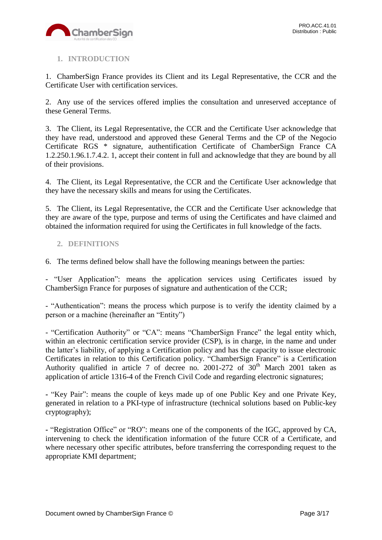

# <span id="page-2-0"></span>**1. INTRODUCTION**

1. ChamberSign France provides its Client and its Legal Representative, the CCR and the Certificate User with certification services.

2. Any use of the services offered implies the consultation and unreserved acceptance of these General Terms.

3. The Client, its Legal Representative, the CCR and the Certificate User acknowledge that they have read, understood and approved these General Terms and the CP of the Negocio Certificate RGS \* signature, authentification Certificate of ChamberSign France CA 1.2.250.1.96.1.7.4.2. 1, accept their content in full and acknowledge that they are bound by all of their provisions.

4. The Client, its Legal Representative, the CCR and the Certificate User acknowledge that they have the necessary skills and means for using the Certificates.

5. The Client, its Legal Representative, the CCR and the Certificate User acknowledge that they are aware of the type, purpose and terms of using the Certificates and have claimed and obtained the information required for using the Certificates in full knowledge of the facts.

## <span id="page-2-1"></span>**2. DEFINITIONS**

6. The terms defined below shall have the following meanings between the parties:

- "User Application": means the application services using Certificates issued by ChamberSign France for purposes of signature and authentication of the CCR;

- "Authentication": means the process which purpose is to verify the identity claimed by a person or a machine (hereinafter an "Entity")

- "Certification Authority" or "CA": means "ChamberSign France" the legal entity which, within an electronic certification service provider (CSP), is in charge, in the name and under the latter's liability, of applying a Certification policy and has the capacity to issue electronic Certificates in relation to this Certification policy. "ChamberSign France" is a Certification Authority qualified in article 7 of decree no. 2001-272 of  $30<sup>th</sup>$  March 2001 taken as application of article 1316-4 of the French Civil Code and regarding electronic signatures;

**-** "Key Pair": means the couple of keys made up of one Public Key and one Private Key, generated in relation to a PKI-type of infrastructure (technical solutions based on Public-key cryptography);

**-** "Registration Office" or "RO": means one of the components of the IGC, approved by CA, intervening to check the identification information of the future CCR of a Certificate, and where necessary other specific attributes, before transferring the corresponding request to the appropriate KMI department;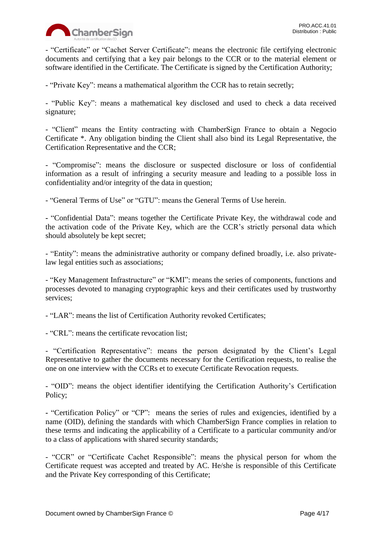

- "Certificate" or "Cachet Server Certificate": means the electronic file certifying electronic documents and certifying that a key pair belongs to the CCR or to the material element or software identified in the Certificate. The Certificate is signed by the Certification Authority;

- "Private Key": means a mathematical algorithm the CCR has to retain secretly;

- "Public Key": means a mathematical key disclosed and used to check a data received signature;

- "Client" means the Entity contracting with ChamberSign France to obtain a Negocio Certificate \*. Any obligation binding the Client shall also bind its Legal Representative, the Certification Representative and the CCR;

- "Compromise": means the disclosure or suspected disclosure or loss of confidential information as a result of infringing a security measure and leading to a possible loss in confidentiality and/or integrity of the data in question;

- "General Terms of Use" or "GTU": means the General Terms of Use herein.

**-** "Confidential Data": means together the Certificate Private Key, the withdrawal code and the activation code of the Private Key, which are the CCR's strictly personal data which should absolutely be kept secret;

- "Entity": means the administrative authority or company defined broadly, i.e. also privatelaw legal entities such as associations;

- "Key Management Infrastructure" or "KMI": means the series of components, functions and processes devoted to managing cryptographic keys and their certificates used by trustworthy services;

- "LAR": means the list of Certification Authority revoked Certificates;

- "CRL": means the certificate revocation list;

- "Certification Representative": means the person designated by the Client's Legal Representative to gather the documents necessary for the Certification requests, to realise the one on one interview with the CCRs et to execute Certificate Revocation requests.

- "OID": means the object identifier identifying the Certification Authority's Certification Policy;

**-** "Certification Policy" or "CP": means the series of rules and exigencies, identified by a name (OID), defining the standards with which ChamberSign France complies in relation to these terms and indicating the applicability of a Certificate to a particular community and/or to a class of applications with shared security standards;

- "CCR" or "Certificate Cachet Responsible": means the physical person for whom the Certificate request was accepted and treated by AC. He/she is responsible of this Certificate and the Private Key corresponding of this Certificate;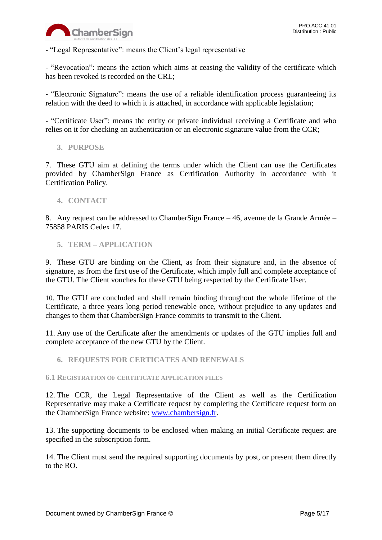

- "Legal Representative": means the Client's legal representative

**-** "Revocation": means the action which aims at ceasing the validity of the certificate which has been revoked is recorded on the CRL;

**-** "Electronic Signature": means the use of a reliable identification process guaranteeing its relation with the deed to which it is attached, in accordance with applicable legislation;

- "Certificate User": means the entity or private individual receiving a Certificate and who relies on it for checking an authentication or an electronic signature value from the CCR;

<span id="page-4-0"></span>**3. PURPOSE**

7. These GTU aim at defining the terms under which the Client can use the Certificates provided by ChamberSign France as Certification Authority in accordance with it Certification Policy.

<span id="page-4-1"></span>**4. CONTACT**

8. Any request can be addressed to ChamberSign France – 46, avenue de la Grande Armée – 75858 PARIS Cedex 17.

<span id="page-4-2"></span>**5. TERM – APPLICATION**

9. These GTU are binding on the Client, as from their signature and, in the absence of signature, as from the first use of the Certificate, which imply full and complete acceptance of the GTU. The Client vouches for these GTU being respected by the Certificate User.

10. The GTU are concluded and shall remain binding throughout the whole lifetime of the Certificate, a three years long period renewable once, without prejudice to any updates and changes to them that ChamberSign France commits to transmit to the Client.

11. Any use of the Certificate after the amendments or updates of the GTU implies full and complete acceptance of the new GTU by the Client.

<span id="page-4-3"></span>**6. REQUESTS FOR CERTICATES AND RENEWALS**

<span id="page-4-4"></span>**6.1 REGISTRATION OF CERTIFICATE APPLICATION FILES**

12. The CCR, the Legal Representative of the Client as well as the Certification Representative may make a Certificate request by completing the Certificate request form on the ChamberSign France website: [www.chambersign.fr.](http://www.chambersign.fr/)

13. The supporting documents to be enclosed when making an initial Certificate request are specified in the subscription form.

14. The Client must send the required supporting documents by post, or present them directly to the RO.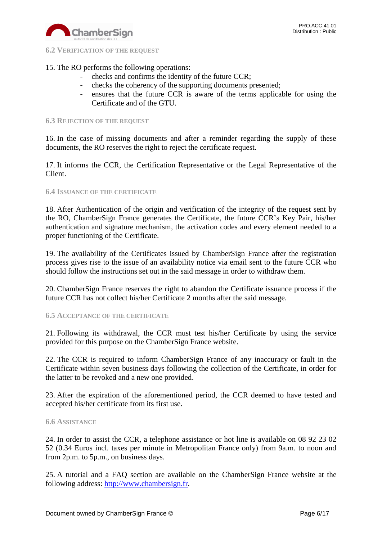

#### <span id="page-5-0"></span>**6.2 VERIFICATION OF THE REQUEST**

# 15. The RO performs the following operations:

- checks and confirms the identity of the future CCR;
- checks the coherency of the supporting documents presented;
- ensures that the future CCR is aware of the terms applicable for using the Certificate and of the GTU.

#### <span id="page-5-1"></span>**6.3 REJECTION OF THE REQUEST**

16. In the case of missing documents and after a reminder regarding the supply of these documents, the RO reserves the right to reject the certificate request.

17. It informs the CCR, the Certification Representative or the Legal Representative of the Client.

#### <span id="page-5-2"></span>**6.4 ISSUANCE OF THE CERTIFICATE**

18. After Authentication of the origin and verification of the integrity of the request sent by the RO, ChamberSign France generates the Certificate, the future CCR's Key Pair, his/her authentication and signature mechanism, the activation codes and every element needed to a proper functioning of the Certificate.

19. The availability of the Certificates issued by ChamberSign France after the registration process gives rise to the issue of an availability notice via email sent to the future CCR who should follow the instructions set out in the said message in order to withdraw them.

20. ChamberSign France reserves the right to abandon the Certificate issuance process if the future CCR has not collect his/her Certificate 2 months after the said message.

#### <span id="page-5-3"></span>**6.5 ACCEPTANCE OF THE CERTIFICATE**

21. Following its withdrawal, the CCR must test his/her Certificate by using the service provided for this purpose on the ChamberSign France website.

22. The CCR is required to inform ChamberSign France of any inaccuracy or fault in the Certificate within seven business days following the collection of the Certificate, in order for the latter to be revoked and a new one provided.

23. After the expiration of the aforementioned period, the CCR deemed to have tested and accepted his/her certificate from its first use.

#### <span id="page-5-4"></span>**6.6 ASSISTANCE**

24. In order to assist the CCR, a telephone assistance or hot line is available on 08 92 23 02 52 (0.34 Euros incl. taxes per minute in Metropolitan France only) from 9a.m. to noon and from 2p.m. to 5p.m., on business days.

25. A tutorial and a FAQ section are available on the ChamberSign France website at the following address: [http://www.chambersign.fr.](http://www.chambersign.fr/)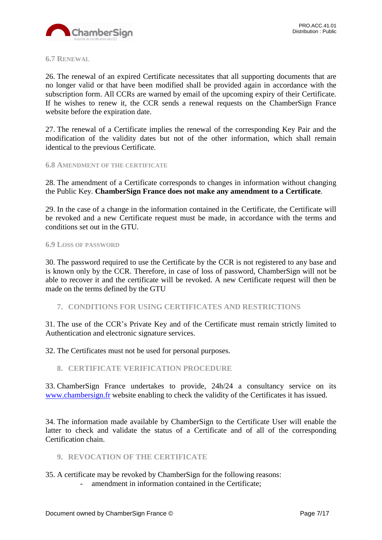

#### <span id="page-6-0"></span>**6.7 RENEWAL**

26. The renewal of an expired Certificate necessitates that all supporting documents that are no longer valid or that have been modified shall be provided again in accordance with the subscription form. All CCRs are warned by email of the upcoming expiry of their Certificate. If he wishes to renew it, the CCR sends a renewal requests on the ChamberSign France website before the expiration date.

27. The renewal of a Certificate implies the renewal of the corresponding Key Pair and the modification of the validity dates but not of the other information, which shall remain identical to the previous Certificate.

#### <span id="page-6-1"></span>**6.8 AMENDMENT OF THE CERTIFICATE**

28. The amendment of a Certificate corresponds to changes in information without changing the Public Key. **ChamberSign France does not make any amendment to a Certificate**.

29. In the case of a change in the information contained in the Certificate, the Certificate will be revoked and a new Certificate request must be made, in accordance with the terms and conditions set out in the GTU.

#### **6.9 LOSS OF PASSWORD**

30. The password required to use the Certificate by the CCR is not registered to any base and is known only by the CCR. Therefore, in case of loss of password, ChamberSign will not be able to recover it and the certificate will be revoked. A new Certificate request will then be made on the terms defined by the GTU

### <span id="page-6-2"></span>**7. CONDITIONS FOR USING CERTIFICATES AND RESTRICTIONS**

31. The use of the CCR's Private Key and of the Certificate must remain strictly limited to Authentication and electronic signature services.

32. The Certificates must not be used for personal purposes.

#### <span id="page-6-3"></span>**8. CERTIFICATE VERIFICATION PROCEDURE**

33. ChamberSign France undertakes to provide, 24h/24 a consultancy service on its [www.chambersign.fr](http://www.chambersign.fr/) website enabling to check the validity of the Certificates it has issued.

34. The information made available by ChamberSign to the Certificate User will enable the latter to check and validate the status of a Certificate and of all of the corresponding Certification chain.

## <span id="page-6-4"></span>**9. REVOCATION OF THE CERTIFICATE**

35. A certificate may be revoked by ChamberSign for the following reasons:

- amendment in information contained in the Certificate;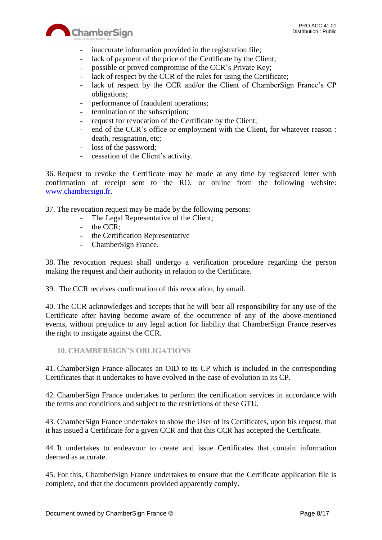

- inaccurate information provided in the registration file;
- lack of payment of the price of the Certificate by the Client;
- possible or proved compromise of the CCR's Private Key;
- lack of respect by the CCR of the rules for using the Certificate;
- lack of respect by the CCR and/or the Client of ChamberSign France's CP obligations;
- performance of fraudulent operations;
- termination of the subscription;
- request for revocation of the Certificate by the Client;
- end of the CCR's office or employment with the Client, for whatever reason : death, resignation, etc;
- loss of the password;
- cessation of the Client's activity.

36. Request to revoke the Certificate may be made at any time by registered letter with confirmation of receipt sent to the RO, or online from the following website: [www.chambersign.fr.](http://www.chambersign.fr/)

37. The revocation request may be made by the following persons:

- The Legal Representative of the Client;
- the CCR:

ChamberSign

- the Certification Representative
- ChamberSign France.

38. The revocation request shall undergo a verification procedure regarding the person making the request and their authority in relation to the Certificate.

39. The CCR receives confirmation of this revocation, by email.

40. The CCR acknowledges and accepts that he will bear all responsibility for any use of the Certificate after having become aware of the occurrence of any of the above-mentioned events, without prejudice to any legal action for liability that ChamberSign France reserves the right to instigate against the CCR.

<span id="page-7-0"></span>**10. CHAMBERSIGN'S OBLIGATIONS**

41. ChamberSign France allocates an OID to its CP which is included in the corresponding Certificates that it undertakes to have evolved in the case of evolution in its CP.

42. ChamberSign France undertakes to perform the certification services in accordance with the terms and conditions and subject to the restrictions of these GTU.

43. ChamberSign France undertakes to show the User of its Certificates, upon his request, that it has issued a Certificate for a given CCR and that this CCR has accepted the Certificate.

44. It undertakes to endeavour to create and issue Certificates that contain information deemed as accurate.

45. For this, ChamberSign France undertakes to ensure that the Certificate application file is complete, and that the documents provided apparently comply.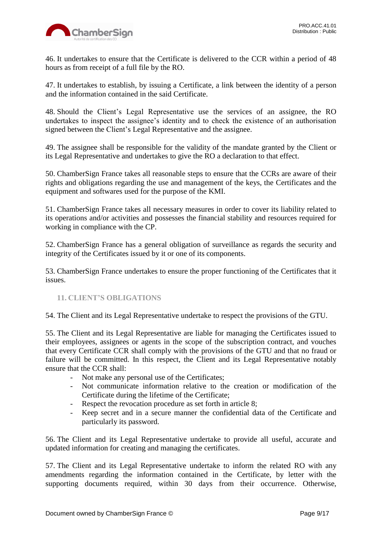

46. It undertakes to ensure that the Certificate is delivered to the CCR within a period of 48 hours as from receipt of a full file by the RO.

47. It undertakes to establish, by issuing a Certificate, a link between the identity of a person and the information contained in the said Certificate.

48. Should the Client's Legal Representative use the services of an assignee, the RO undertakes to inspect the assignee's identity and to check the existence of an authorisation signed between the Client's Legal Representative and the assignee.

49. The assignee shall be responsible for the validity of the mandate granted by the Client or its Legal Representative and undertakes to give the RO a declaration to that effect.

50. ChamberSign France takes all reasonable steps to ensure that the CCRs are aware of their rights and obligations regarding the use and management of the keys, the Certificates and the equipment and softwares used for the purpose of the KMI.

51. ChamberSign France takes all necessary measures in order to cover its liability related to its operations and/or activities and possesses the financial stability and resources required for working in compliance with the CP.

52. ChamberSign France has a general obligation of surveillance as regards the security and integrity of the Certificates issued by it or one of its components.

53. ChamberSign France undertakes to ensure the proper functioning of the Certificates that it issues.

## <span id="page-8-0"></span>**11. CLIENT'S OBLIGATIONS**

54. The Client and its Legal Representative undertake to respect the provisions of the GTU.

55. The Client and its Legal Representative are liable for managing the Certificates issued to their employees, assignees or agents in the scope of the subscription contract, and vouches that every Certificate CCR shall comply with the provisions of the GTU and that no fraud or failure will be committed. In this respect, the Client and its Legal Representative notably ensure that the CCR shall:

- Not make any personal use of the Certificates;
- Not communicate information relative to the creation or modification of the Certificate during the lifetime of the Certificate;
- Respect the revocation procedure as set forth in article 8;
- Keep secret and in a secure manner the confidential data of the Certificate and particularly its password.

56. The Client and its Legal Representative undertake to provide all useful, accurate and updated information for creating and managing the certificates.

57. The Client and its Legal Representative undertake to inform the related RO with any amendments regarding the information contained in the Certificate, by letter with the supporting documents required, within 30 days from their occurrence. Otherwise,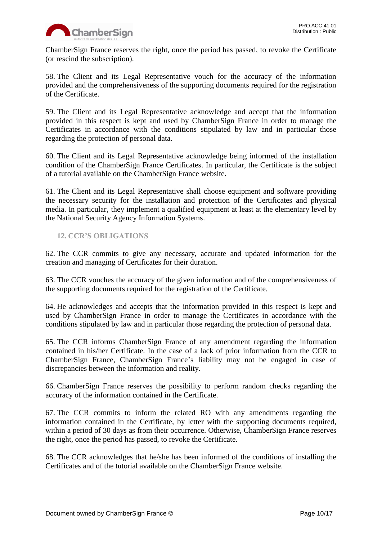

ChamberSign France reserves the right, once the period has passed, to revoke the Certificate (or rescind the subscription).

58. The Client and its Legal Representative vouch for the accuracy of the information provided and the comprehensiveness of the supporting documents required for the registration of the Certificate.

59. The Client and its Legal Representative acknowledge and accept that the information provided in this respect is kept and used by ChamberSign France in order to manage the Certificates in accordance with the conditions stipulated by law and in particular those regarding the protection of personal data.

60. The Client and its Legal Representative acknowledge being informed of the installation condition of the ChamberSign France Certificates. In particular, the Certificate is the subject of a tutorial available on the ChamberSign France website.

61. The Client and its Legal Representative shall choose equipment and software providing the necessary security for the installation and protection of the Certificates and physical media. In particular, they implement a qualified equipment at least at the elementary level by the National Security Agency Information Systems.

# <span id="page-9-0"></span>**12. CCR'S OBLIGATIONS**

62. The CCR commits to give any necessary, accurate and updated information for the creation and managing of Certificates for their duration.

63. The CCR vouches the accuracy of the given information and of the comprehensiveness of the supporting documents required for the registration of the Certificate.

64. He acknowledges and accepts that the information provided in this respect is kept and used by ChamberSign France in order to manage the Certificates in accordance with the conditions stipulated by law and in particular those regarding the protection of personal data.

65. The CCR informs ChamberSign France of any amendment regarding the information contained in his/her Certificate. In the case of a lack of prior information from the CCR to ChamberSign France, ChamberSign France's liability may not be engaged in case of discrepancies between the information and reality.

66. ChamberSign France reserves the possibility to perform random checks regarding the accuracy of the information contained in the Certificate.

67. The CCR commits to inform the related RO with any amendments regarding the information contained in the Certificate, by letter with the supporting documents required, within a period of 30 days as from their occurrence. Otherwise, ChamberSign France reserves the right, once the period has passed, to revoke the Certificate.

68. The CCR acknowledges that he/she has been informed of the conditions of installing the Certificates and of the tutorial available on the ChamberSign France website.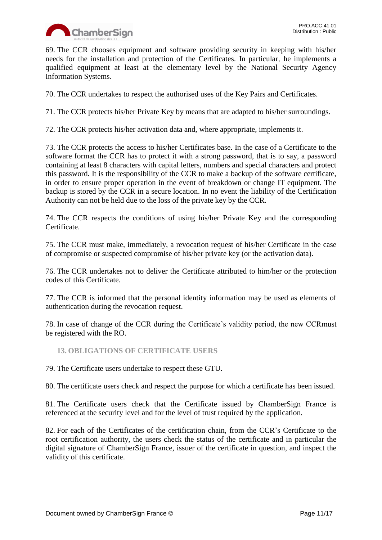

69. The CCR chooses equipment and software providing security in keeping with his/her needs for the installation and protection of the Certificates. In particular, he implements a qualified equipment at least at the elementary level by the National Security Agency Information Systems.

70. The CCR undertakes to respect the authorised uses of the Key Pairs and Certificates.

71. The CCR protects his/her Private Key by means that are adapted to his/her surroundings.

72. The CCR protects his/her activation data and, where appropriate, implements it.

73. The CCR protects the access to his/her Certificates base. In the case of a Certificate to the software format the CCR has to protect it with a strong password, that is to say, a password containing at least 8 characters with capital letters, numbers and special characters and protect this password. It is the responsibility of the CCR to make a backup of the software certificate, in order to ensure proper operation in the event of breakdown or change IT equipment. The backup is stored by the CCR in a secure location. In no event the liability of the Certification Authority can not be held due to the loss of the private key by the CCR.

74. The CCR respects the conditions of using his/her Private Key and the corresponding Certificate.

75. The CCR must make, immediately, a revocation request of his/her Certificate in the case of compromise or suspected compromise of his/her private key (or the activation data).

76. The CCR undertakes not to deliver the Certificate attributed to him/her or the protection codes of this Certificate.

77. The CCR is informed that the personal identity information may be used as elements of authentication during the revocation request.

78. In case of change of the CCR during the Certificate's validity period, the new CCRmust be registered with the RO.

<span id="page-10-0"></span>**13. OBLIGATIONS OF CERTIFICATE USERS**

79. The Certificate users undertake to respect these GTU.

80. The certificate users check and respect the purpose for which a certificate has been issued.

81. The Certificate users check that the Certificate issued by ChamberSign France is referenced at the security level and for the level of trust required by the application.

82. For each of the Certificates of the certification chain, from the CCR's Certificate to the root certification authority, the users check the status of the certificate and in particular the digital signature of ChamberSign France, issuer of the certificate in question, and inspect the validity of this certificate.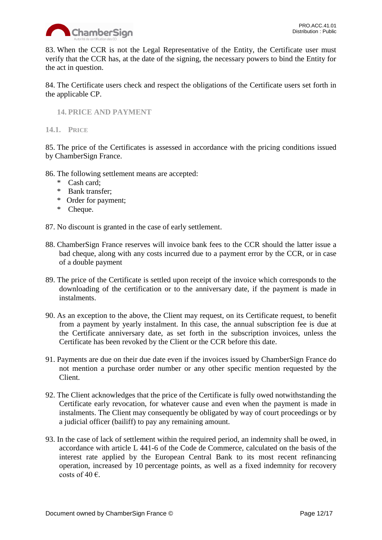

83. When the CCR is not the Legal Representative of the Entity, the Certificate user must verify that the CCR has, at the date of the signing, the necessary powers to bind the Entity for the act in question.

84. The Certificate users check and respect the obligations of the Certificate users set forth in the applicable CP.

<span id="page-11-0"></span>**14. PRICE AND PAYMENT**

<span id="page-11-1"></span>**14.1. PRICE**

85. The price of the Certificates is assessed in accordance with the pricing conditions issued by ChamberSign France.

- 86. The following settlement means are accepted:
	- \* Cash card;
	- \* Bank transfer;
	- \* Order for payment;
	- \* Cheque.

87. No discount is granted in the case of early settlement.

- 88. ChamberSign France reserves will invoice bank fees to the CCR should the latter issue a bad cheque, along with any costs incurred due to a payment error by the CCR, or in case of a double payment
- 89. The price of the Certificate is settled upon receipt of the invoice which corresponds to the downloading of the certification or to the anniversary date, if the payment is made in instalments.
- 90. As an exception to the above, the Client may request, on its Certificate request, to benefit from a payment by yearly instalment. In this case, the annual subscription fee is due at the Certificate anniversary date, as set forth in the subscription invoices, unless the Certificate has been revoked by the Client or the CCR before this date.
- 91. Payments are due on their due date even if the invoices issued by ChamberSign France do not mention a purchase order number or any other specific mention requested by the Client.
- 92. The Client acknowledges that the price of the Certificate is fully owed notwithstanding the Certificate early revocation, for whatever cause and even when the payment is made in instalments. The Client may consequently be obligated by way of court proceedings or by a judicial officer (bailiff) to pay any remaining amount.
- 93. In the case of lack of settlement within the required period, an indemnity shall be owed, in accordance with article L 441-6 of the Code de Commerce, calculated on the basis of the interest rate applied by the European Central Bank to its most recent refinancing operation, increased by 10 percentage points, as well as a fixed indemnity for recovery costs of 40  $\epsilon$ .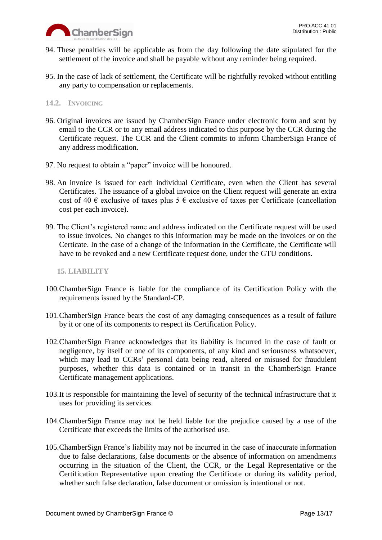

- 94. These penalties will be applicable as from the day following the date stipulated for the settlement of the invoice and shall be payable without any reminder being required.
- 95. In the case of lack of settlement, the Certificate will be rightfully revoked without entitling any party to compensation or replacements.

## <span id="page-12-0"></span>**14.2. INVOICING**

- 96. Original invoices are issued by ChamberSign France under electronic form and sent by email to the CCR or to any email address indicated to this purpose by the CCR during the Certificate request. The CCR and the Client commits to inform ChamberSign France of any address modification.
- 97. No request to obtain a "paper" invoice will be honoured.
- 98. An invoice is issued for each individual Certificate, even when the Client has several Certificates. The issuance of a global invoice on the Client request will generate an extra cost of 40  $\epsilon$  exclusive of taxes plus 5  $\epsilon$  exclusive of taxes per Certificate (cancellation cost per each invoice).
- 99. The Client's registered name and address indicated on the Certificate request will be used to issue invoices. No changes to this information may be made on the invoices or on the Certicate. In the case of a change of the information in the Certificate, the Certificate will have to be revoked and a new Certificate request done, under the GTU conditions.

#### <span id="page-12-1"></span>**15. LIABILITY**

- 100.ChamberSign France is liable for the compliance of its Certification Policy with the requirements issued by the Standard-CP.
- 101.ChamberSign France bears the cost of any damaging consequences as a result of failure by it or one of its components to respect its Certification Policy.
- 102.ChamberSign France acknowledges that its liability is incurred in the case of fault or negligence, by itself or one of its components, of any kind and seriousness whatsoever, which may lead to CCRs' personal data being read, altered or misused for fraudulent purposes, whether this data is contained or in transit in the ChamberSign France Certificate management applications.
- 103.It is responsible for maintaining the level of security of the technical infrastructure that it uses for providing its services.
- 104.ChamberSign France may not be held liable for the prejudice caused by a use of the Certificate that exceeds the limits of the authorised use.
- 105.ChamberSign France's liability may not be incurred in the case of inaccurate information due to false declarations, false documents or the absence of information on amendments occurring in the situation of the Client, the CCR, or the Legal Representative or the Certification Representative upon creating the Certificate or during its validity period, whether such false declaration, false document or omission is intentional or not.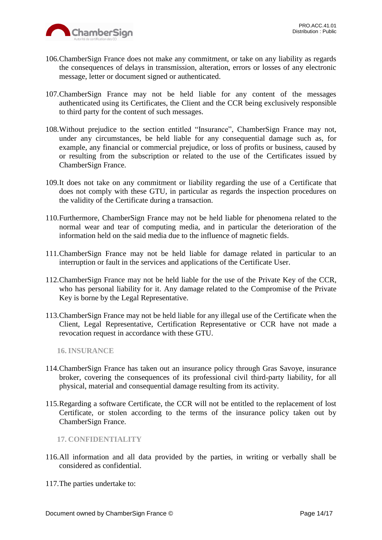

- 106.ChamberSign France does not make any commitment, or take on any liability as regards the consequences of delays in transmission, alteration, errors or losses of any electronic message, letter or document signed or authenticated.
- 107.ChamberSign France may not be held liable for any content of the messages authenticated using its Certificates, the Client and the CCR being exclusively responsible to third party for the content of such messages.
- 108.Without prejudice to the section entitled "Insurance", ChamberSign France may not, under any circumstances, be held liable for any consequential damage such as, for example, any financial or commercial prejudice, or loss of profits or business, caused by or resulting from the subscription or related to the use of the Certificates issued by ChamberSign France.
- 109.It does not take on any commitment or liability regarding the use of a Certificate that does not comply with these GTU, in particular as regards the inspection procedures on the validity of the Certificate during a transaction.
- 110.Furthermore, ChamberSign France may not be held liable for phenomena related to the normal wear and tear of computing media, and in particular the deterioration of the information held on the said media due to the influence of magnetic fields.
- 111.ChamberSign France may not be held liable for damage related in particular to an interruption or fault in the services and applications of the Certificate User.
- 112.ChamberSign France may not be held liable for the use of the Private Key of the CCR, who has personal liability for it. Any damage related to the Compromise of the Private Key is borne by the Legal Representative.
- 113.ChamberSign France may not be held liable for any illegal use of the Certificate when the Client, Legal Representative, Certification Representative or CCR have not made a revocation request in accordance with these GTU.

<span id="page-13-0"></span>**16. INSURANCE**

- 114.ChamberSign France has taken out an insurance policy through Gras Savoye, insurance broker, covering the consequences of its professional civil third-party liability, for all physical, material and consequential damage resulting from its activity.
- 115.Regarding a software Certificate, the CCR will not be entitled to the replacement of lost Certificate, or stolen according to the terms of the insurance policy taken out by ChamberSign France.

<span id="page-13-1"></span>**17. CONFIDENTIALITY**

- 116.All information and all data provided by the parties, in writing or verbally shall be considered as confidential.
- 117.The parties undertake to: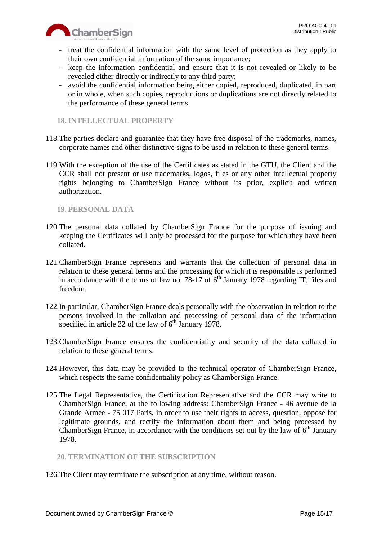



- treat the confidential information with the same level of protection as they apply to their own confidential information of the same importance;
- keep the information confidential and ensure that it is not revealed or likely to be revealed either directly or indirectly to any third party;
- avoid the confidential information being either copied, reproduced, duplicated, in part or in whole, when such copies, reproductions or duplications are not directly related to the performance of these general terms.

## <span id="page-14-0"></span>**18. INTELLECTUAL PROPERTY**

- 118.The parties declare and guarantee that they have free disposal of the trademarks, names, corporate names and other distinctive signs to be used in relation to these general terms.
- 119.With the exception of the use of the Certificates as stated in the GTU, the Client and the CCR shall not present or use trademarks, logos, files or any other intellectual property rights belonging to ChamberSign France without its prior, explicit and written authorization.

## <span id="page-14-1"></span>**19. PERSONAL DATA**

- 120.The personal data collated by ChamberSign France for the purpose of issuing and keeping the Certificates will only be processed for the purpose for which they have been collated.
- 121.ChamberSign France represents and warrants that the collection of personal data in relation to these general terms and the processing for which it is responsible is performed in accordance with the terms of law no. 78-17 of  $6<sup>th</sup>$  January 1978 regarding IT, files and freedom.
- 122.In particular, ChamberSign France deals personally with the observation in relation to the persons involved in the collation and processing of personal data of the information specified in article 32 of the law of  $6<sup>th</sup>$  January 1978.
- 123.ChamberSign France ensures the confidentiality and security of the data collated in relation to these general terms.
- 124.However, this data may be provided to the technical operator of ChamberSign France, which respects the same confidentiality policy as ChamberSign France.
- 125.The Legal Representative, the Certification Representative and the CCR may write to ChamberSign France, at the following address: ChamberSign France - 46 avenue de la Grande Armée - 75 017 Paris, in order to use their rights to access, question, oppose for legitimate grounds, and rectify the information about them and being processed by ChamberSign France, in accordance with the conditions set out by the law of  $6<sup>th</sup>$  January 1978.

## <span id="page-14-2"></span>**20. TERMINATION OF THE SUBSCRIPTION**

126.The Client may terminate the subscription at any time, without reason.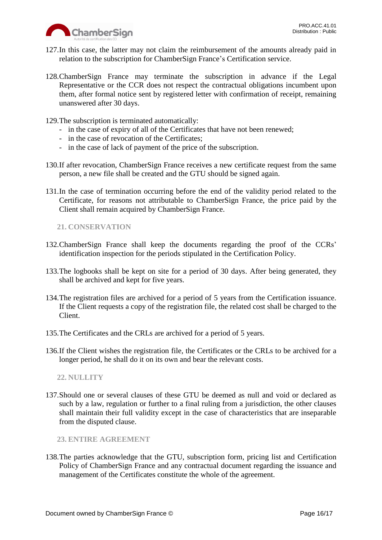

- 127.In this case, the latter may not claim the reimbursement of the amounts already paid in relation to the subscription for ChamberSign France's Certification service.
- 128.ChamberSign France may terminate the subscription in advance if the Legal Representative or the CCR does not respect the contractual obligations incumbent upon them, after formal notice sent by registered letter with confirmation of receipt, remaining unanswered after 30 days.
- 129.The subscription is terminated automatically:
	- in the case of expiry of all of the Certificates that have not been renewed;
	- in the case of revocation of the Certificates;
	- in the case of lack of payment of the price of the subscription.
- 130.If after revocation, ChamberSign France receives a new certificate request from the same person, a new file shall be created and the GTU should be signed again.
- 131.In the case of termination occurring before the end of the validity period related to the Certificate, for reasons not attributable to ChamberSign France, the price paid by the Client shall remain acquired by ChamberSign France.

<span id="page-15-0"></span>**21. CONSERVATION**

- 132.ChamberSign France shall keep the documents regarding the proof of the CCRs' identification inspection for the periods stipulated in the Certification Policy.
- 133.The logbooks shall be kept on site for a period of 30 days. After being generated, they shall be archived and kept for five years.
- 134.The registration files are archived for a period of 5 years from the Certification issuance. If the Client requests a copy of the registration file, the related cost shall be charged to the Client.
- 135.The Certificates and the CRLs are archived for a period of 5 years.
- 136.If the Client wishes the registration file, the Certificates or the CRLs to be archived for a longer period, he shall do it on its own and bear the relevant costs.

<span id="page-15-1"></span>**22. NULLITY**

137.Should one or several clauses of these GTU be deemed as null and void or declared as such by a law, regulation or further to a final ruling from a jurisdiction, the other clauses shall maintain their full validity except in the case of characteristics that are inseparable from the disputed clause.

<span id="page-15-2"></span>**23. ENTIRE AGREEMENT**

138.The parties acknowledge that the GTU, subscription form, pricing list and Certification Policy of ChamberSign France and any contractual document regarding the issuance and management of the Certificates constitute the whole of the agreement.